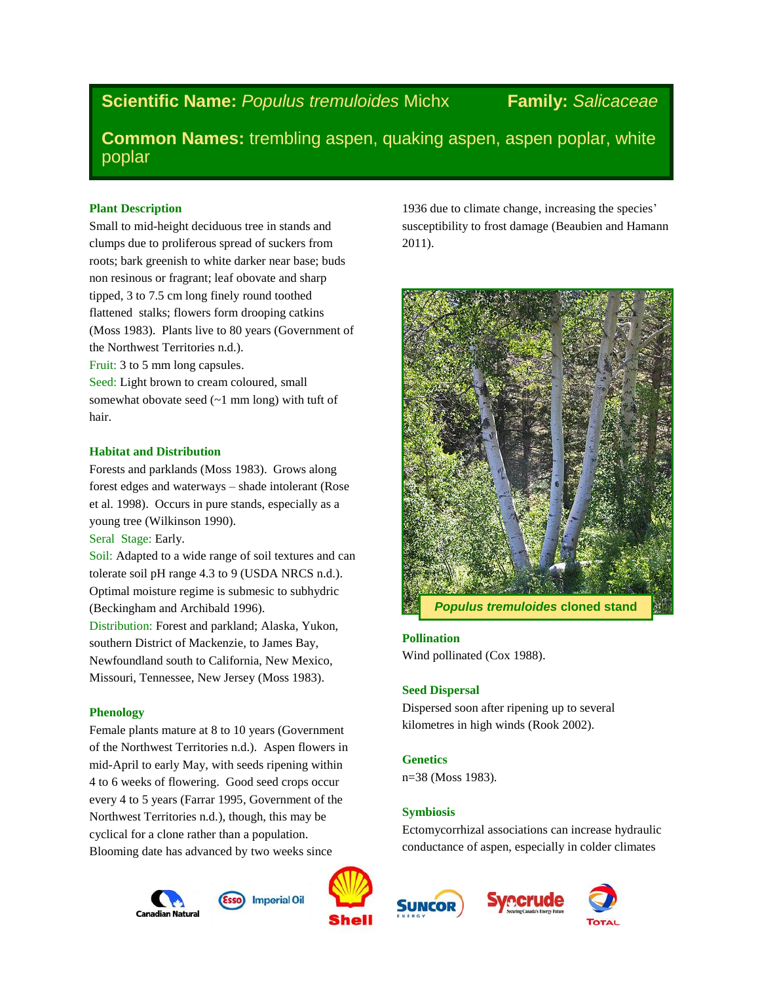**Scientific Name:** *Populus tremuloides* Michx **Family:** *Salicaceae*

1936 due to climate change, increasing the species' susceptibility to frost damage (Beaubien and Hamann

**Common Names:** trembling aspen, quaking aspen, aspen poplar, white poplar

2011).

# **Plant Description**

Small to mid-height deciduous tree in stands and clumps due to proliferous spread of suckers from roots; bark greenish to white darker near base; buds non resinous or fragrant; leaf obovate and sharp tipped, 3 to 7.5 cm long finely round toothed flattened stalks; flowers form drooping catkins (Moss 1983). Plants live to 80 years (Government of the Northwest Territories n.d.).

Fruit: 3 to 5 mm long capsules.

Seed: Light brown to cream coloured, small somewhat obovate seed (~1 mm long) with tuft of hair.

# **Habitat and Distribution**

Forests and parklands (Moss 1983). Grows along forest edges and waterways – shade intolerant (Rose et al. 1998). Occurs in pure stands, especially as a young tree (Wilkinson 1990).

Seral Stage: Early.

Soil: Adapted to a wide range of soil textures and can tolerate soil pH range 4.3 to 9 (USDA NRCS n.d.). Optimal moisture regime is submesic to subhydric (Beckingham and Archibald 1996).

Distribution: Forest and parkland; Alaska, Yukon, southern District of Mackenzie, to James Bay, Newfoundland south to California, New Mexico, Missouri, Tennessee, New Jersey (Moss 1983).

# **Phenology**

Female plants mature at 8 to 10 years (Government of the Northwest Territories n.d.). Aspen flowers in mid-April to early May, with seeds ripening within 4 to 6 weeks of flowering. Good seed crops occur every 4 to 5 years (Farrar 1995, Government of the Northwest Territories n.d.), though, this may be cyclical for a clone rather than a population. Blooming date has advanced by two weeks since









**Pollination**

**Seed Dispersal**

n=38 (Moss 1983).

**Genetics**

**Symbiosis**

Wind pollinated (Cox 1988).







Ectomycorrhizal associations can increase hydraulic conductance of aspen, especially in colder climates

Dispersed soon after ripening up to several kilometres in high winds (Rook 2002).

*Populus tremuloides* **cloned stand**



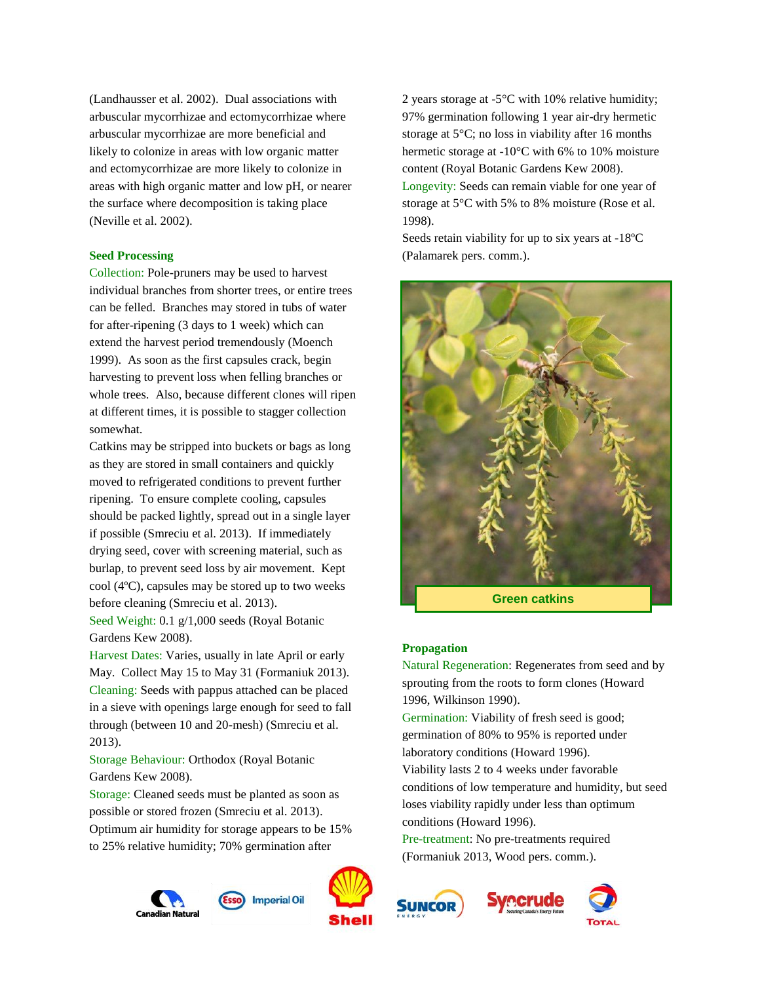(Landhausser et al. 2002). Dual associations with arbuscular mycorrhizae and ectomycorrhizae where arbuscular mycorrhizae are more beneficial and likely to colonize in areas with low organic matter and ectomycorrhizae are more likely to colonize in areas with high organic matter and low pH, or nearer the surface where decomposition is taking place (Neville et al. 2002).

### **Seed Processing**

Collection: Pole-pruners may be used to harvest individual branches from shorter trees, or entire trees can be felled. Branches may stored in tubs of water for after-ripening (3 days to 1 week) which can extend the harvest period tremendously (Moench 1999). As soon as the first capsules crack, begin harvesting to prevent loss when felling branches or whole trees. Also, because different clones will ripen at different times, it is possible to stagger collection somewhat.

Catkins may be stripped into buckets or bags as long as they are stored in small containers and quickly moved to refrigerated conditions to prevent further ripening. To ensure complete cooling, capsules should be packed lightly, spread out in a single layer if possible (Smreciu et al. 2013). If immediately drying seed, cover with screening material, such as burlap, to prevent seed loss by air movement. Kept cool (4ºC), capsules may be stored up to two weeks before cleaning (Smreciu et al. 2013).

Seed Weight: 0.1 g/1,000 seeds (Royal Botanic Gardens Kew 2008).

Harvest Dates: Varies, usually in late April or early May. Collect May 15 to May 31 (Formaniuk 2013). Cleaning: Seeds with pappus attached can be placed in a sieve with openings large enough for seed to fall through (between 10 and 20-mesh) (Smreciu et al. 2013).

Storage Behaviour: Orthodox (Royal Botanic Gardens Kew 2008).

Storage: Cleaned seeds must be planted as soon as possible or stored frozen (Smreciu et al. 2013). Optimum air humidity for storage appears to be 15% to 25% relative humidity; 70% germination after





2 years storage at -5°C with 10% relative humidity; 97% germination following 1 year air-dry hermetic storage at 5°C; no loss in viability after 16 months hermetic storage at -10°C with 6% to 10% moisture content (Royal Botanic Gardens Kew 2008). Longevity: Seeds can remain viable for one year of storage at 5°C with 5% to 8% moisture (Rose et al. 1998).

Seeds retain viability for up to six years at -18ºC (Palamarek pers. comm.).



#### **Propagation**

Natural Regeneration: Regenerates from seed and by sprouting from the roots to form clones (Howard 1996, Wilkinson 1990).

Germination: Viability of fresh seed is good; germination of 80% to 95% is reported under laboratory conditions (Howard 1996).

Viability lasts 2 to 4 weeks under favorable conditions of low temperature and humidity, but seed loses viability rapidly under less than optimum conditions (Howard 1996).

Pre-treatment: No pre-treatments required (Formaniuk 2013, Wood pers. comm.).



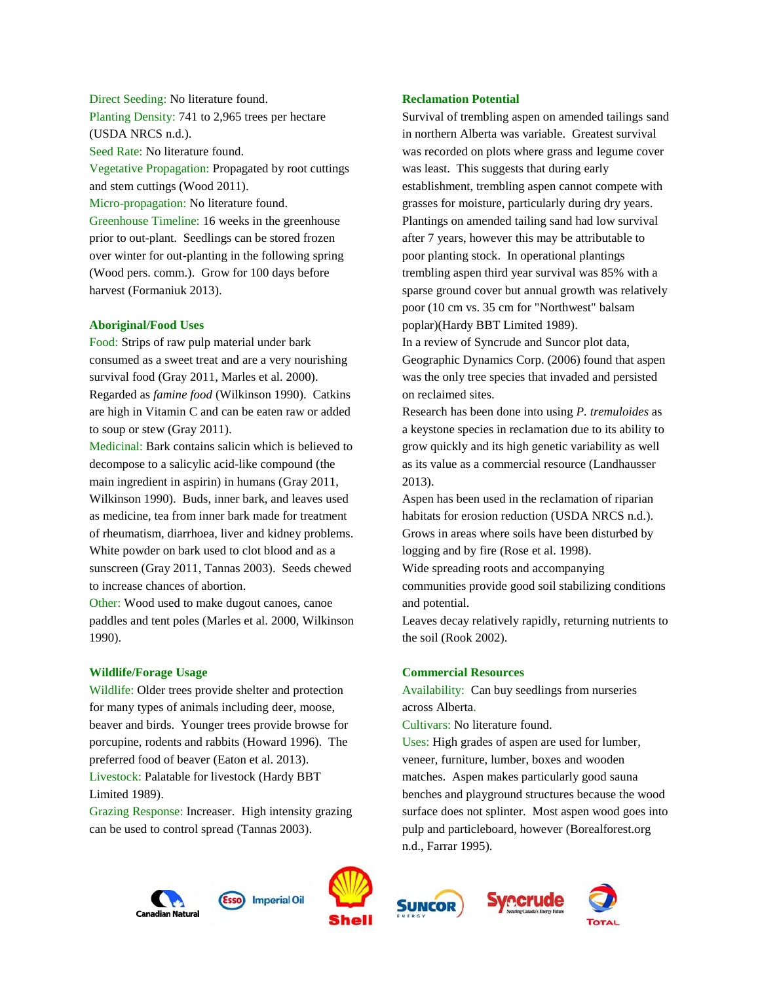# Direct Seeding: No literature found. Planting Density: 741 to 2,965 trees per hectare (USDA NRCS n.d.).

Seed Rate: No literature found.

Vegetative Propagation: Propagated by root cuttings and stem cuttings (Wood 2011).

Micro-propagation: No literature found.

Greenhouse Timeline: 16 weeks in the greenhouse prior to out-plant. Seedlings can be stored frozen over winter for out-planting in the following spring (Wood pers. comm.). Grow for 100 days before harvest (Formaniuk 2013).

## **Aboriginal/Food Uses**

Food: Strips of raw pulp material under bark consumed as a sweet treat and are a very nourishing survival food (Gray 2011, Marles et al. 2000). Regarded as *famine food* (Wilkinson 1990). Catkins are high in Vitamin C and can be eaten raw or added to soup or stew (Gray 2011).

Medicinal: Bark contains salicin which is believed to decompose to a salicylic acid-like compound (the main ingredient in aspirin) in humans (Gray 2011, Wilkinson 1990). Buds, inner bark, and leaves used as medicine, tea from inner bark made for treatment of rheumatism, diarrhoea, liver and kidney problems. White powder on bark used to clot blood and as a sunscreen (Gray 2011, Tannas 2003). Seeds chewed to increase chances of abortion.

Other: Wood used to make dugout canoes, canoe paddles and tent poles (Marles et al. 2000, Wilkinson 1990).

## **Wildlife/Forage Usage**

Wildlife: Older trees provide shelter and protection for many types of animals including deer, moose, beaver and birds. Younger trees provide browse for porcupine, rodents and rabbits (Howard 1996). The preferred food of beaver (Eaton et al. 2013). Livestock: Palatable for livestock (Hardy BBT Limited 1989).

Grazing Response: Increaser. High intensity grazing can be used to control spread (Tannas 2003).

# **Reclamation Potential**

Survival of trembling aspen on amended tailings sand in northern Alberta was variable. Greatest survival was recorded on plots where grass and legume cover was least. This suggests that during early establishment, trembling aspen cannot compete with grasses for moisture, particularly during dry years. Plantings on amended tailing sand had low survival after 7 years, however this may be attributable to poor planting stock. In operational plantings trembling aspen third year survival was 85% with a sparse ground cover but annual growth was relatively poor (10 cm vs. 35 cm for "Northwest" balsam poplar)(Hardy BBT Limited 1989).

In a review of Syncrude and Suncor plot data, Geographic Dynamics Corp. (2006) found that aspen was the only tree species that invaded and persisted on reclaimed sites.

Research has been done into using *P. tremuloides* as a keystone species in reclamation due to its ability to grow quickly and its high genetic variability as well as its value as a commercial resource (Landhausser 2013).

Aspen has been used in the reclamation of riparian habitats for erosion reduction (USDA NRCS n.d.). Grows in areas where soils have been disturbed by logging and by fire (Rose et al. 1998).

Wide spreading roots and accompanying

communities provide good soil stabilizing conditions and potential.

Leaves decay relatively rapidly, returning nutrients to the soil (Rook 2002).

## **Commercial Resources**

Availability: Can buy seedlings from nurseries across Alberta.

Cultivars: No literature found.

Uses: High grades of aspen are used for lumber, veneer, furniture, lumber, boxes and wooden matches. Aspen makes particularly good sauna benches and playground structures because the wood surface does not splinter. Most aspen wood goes into pulp and particleboard, however (Borealforest.org n.d., Farrar 1995).

recrude







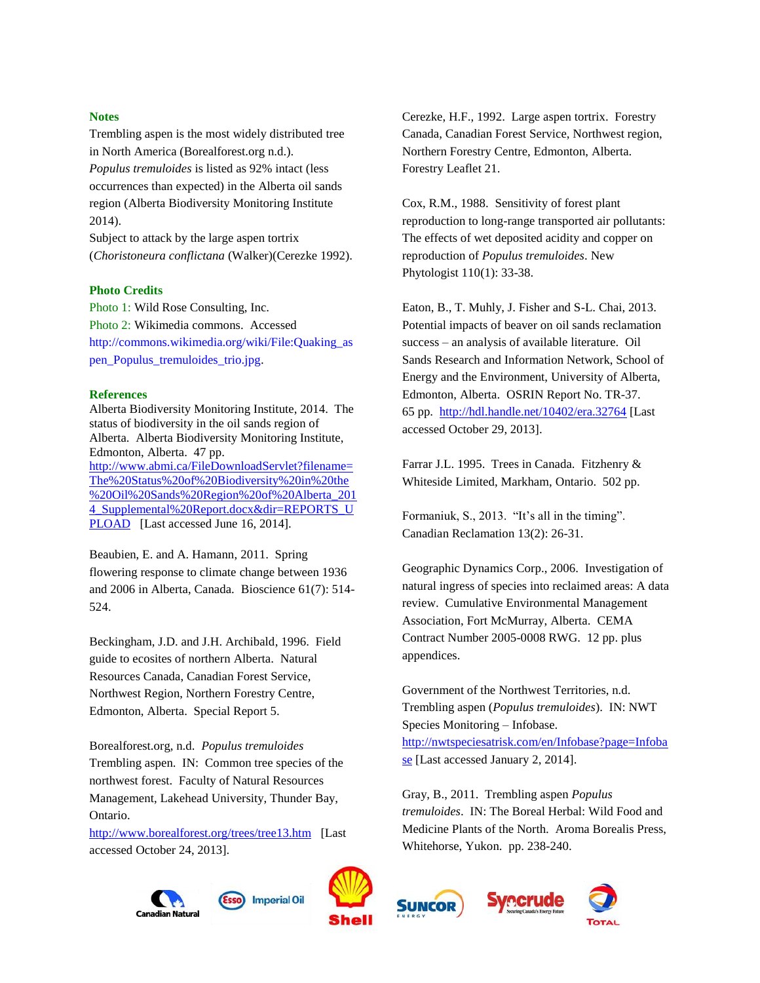#### **Notes**

Trembling aspen is the most widely distributed tree in North America (Borealforest.org n.d.). *Populus tremuloides* is listed as 92% intact (less occurrences than expected) in the Alberta oil sands region (Alberta Biodiversity Monitoring Institute 2014).

Subject to attack by the large aspen tortrix (*Choristoneura conflictana* (Walker)(Cerezke 1992).

#### **Photo Credits**

Photo 1: Wild Rose Consulting, Inc. Photo 2: Wikimedia commons. Accessed [http://commons.wikimedia.org/wiki/File:Quaking\\_as](http://commons.wikimedia.org/wiki/File:Quaking_aspen_Populus_tremuloides_trio.jpg) [pen\\_Populus\\_tremuloides\\_trio.jpg.](http://commons.wikimedia.org/wiki/File:Quaking_aspen_Populus_tremuloides_trio.jpg)

#### **References**

Alberta Biodiversity Monitoring Institute, 2014. The status of biodiversity in the oil sands region of Alberta. Alberta Biodiversity Monitoring Institute, Edmonton, Alberta. 47 pp. [http://www.abmi.ca/FileDownloadServlet?filename=](http://www.abmi.ca/FileDownloadServlet?filename=The%20Status%20of%20Biodiversity%20in%20the%20Oil%20Sands%20Region%20of%20Alberta_2014_Supplemental%20Report.docx&dir=REPORTS_UPLOAD) [The%20Status%20of%20Biodiversity%20in%20the](http://www.abmi.ca/FileDownloadServlet?filename=The%20Status%20of%20Biodiversity%20in%20the%20Oil%20Sands%20Region%20of%20Alberta_2014_Supplemental%20Report.docx&dir=REPORTS_UPLOAD) [%20Oil%20Sands%20Region%20of%20Alberta\\_201](http://www.abmi.ca/FileDownloadServlet?filename=The%20Status%20of%20Biodiversity%20in%20the%20Oil%20Sands%20Region%20of%20Alberta_2014_Supplemental%20Report.docx&dir=REPORTS_UPLOAD) [4\\_Supplemental%20Report.docx&dir=REPORTS\\_U](http://www.abmi.ca/FileDownloadServlet?filename=The%20Status%20of%20Biodiversity%20in%20the%20Oil%20Sands%20Region%20of%20Alberta_2014_Supplemental%20Report.docx&dir=REPORTS_UPLOAD) [PLOAD](http://www.abmi.ca/FileDownloadServlet?filename=The%20Status%20of%20Biodiversity%20in%20the%20Oil%20Sands%20Region%20of%20Alberta_2014_Supplemental%20Report.docx&dir=REPORTS_UPLOAD) [Last accessed June 16, 2014].

Beaubien, E. and A. Hamann, 2011. Spring flowering response to climate change between 1936 and 2006 in Alberta, Canada. Bioscience 61(7): 514- 524.

Beckingham, J.D. and J.H. Archibald, 1996. Field guide to ecosites of northern Alberta. Natural Resources Canada, Canadian Forest Service, Northwest Region, Northern Forestry Centre, Edmonton, Alberta. Special Report 5.

Borealforest.org, n.d. *Populus tremuloides* Trembling aspen. IN: Common tree species of the northwest forest. Faculty of Natural Resources Management, Lakehead University, Thunder Bay, Ontario.

<http://www.borealforest.org/trees/tree13.htm>[Last accessed October 24, 2013].



Cerezke, H.F., 1992. Large aspen tortrix. Forestry Canada, Canadian Forest Service, Northwest region, Northern Forestry Centre, Edmonton, Alberta. Forestry Leaflet 21.

Cox, R.M., 1988. Sensitivity of forest plant reproduction to long-range transported air pollutants: The effects of wet deposited acidity and copper on reproduction of *Populus tremuloides*. New Phytologist 110(1): 33-38.

Eaton, B., T. Muhly, J. Fisher and S-L. Chai, 2013. Potential impacts of beaver on oil sands reclamation success – an analysis of available literature. Oil Sands Research and Information Network, School of Energy and the Environment, University of Alberta, Edmonton, Alberta. OSRIN Report No. TR-37. 65 pp. <http://hdl.handle.net/10402/era.32764> [Last accessed October 29, 2013].

Farrar J.L. 1995. Trees in Canada. Fitzhenry & Whiteside Limited, Markham, Ontario. 502 pp.

Formaniuk, S., 2013. "It's all in the timing". Canadian Reclamation 13(2): 26-31.

Geographic Dynamics Corp., 2006. Investigation of natural ingress of species into reclaimed areas: A data review. Cumulative Environmental Management Association, Fort McMurray, Alberta. CEMA Contract Number 2005-0008 RWG. 12 pp. plus appendices.

Government of the Northwest Territories, n.d. Trembling aspen (*Populus tremuloides*). IN: NWT Species Monitoring – Infobase. [http://nwtspeciesatrisk.com/en/Infobase?page=Infoba](http://nwtspeciesatrisk.com/en/Infobase?page=Infobase) [se](http://nwtspeciesatrisk.com/en/Infobase?page=Infobase) [Last accessed January 2, 2014].

Gray, B., 2011. Trembling aspen *Populus tremuloides*. IN: The Boreal Herbal: Wild Food and Medicine Plants of the North. Aroma Borealis Press, Whitehorse, Yukon. pp. 238-240.







**Imperial Oil**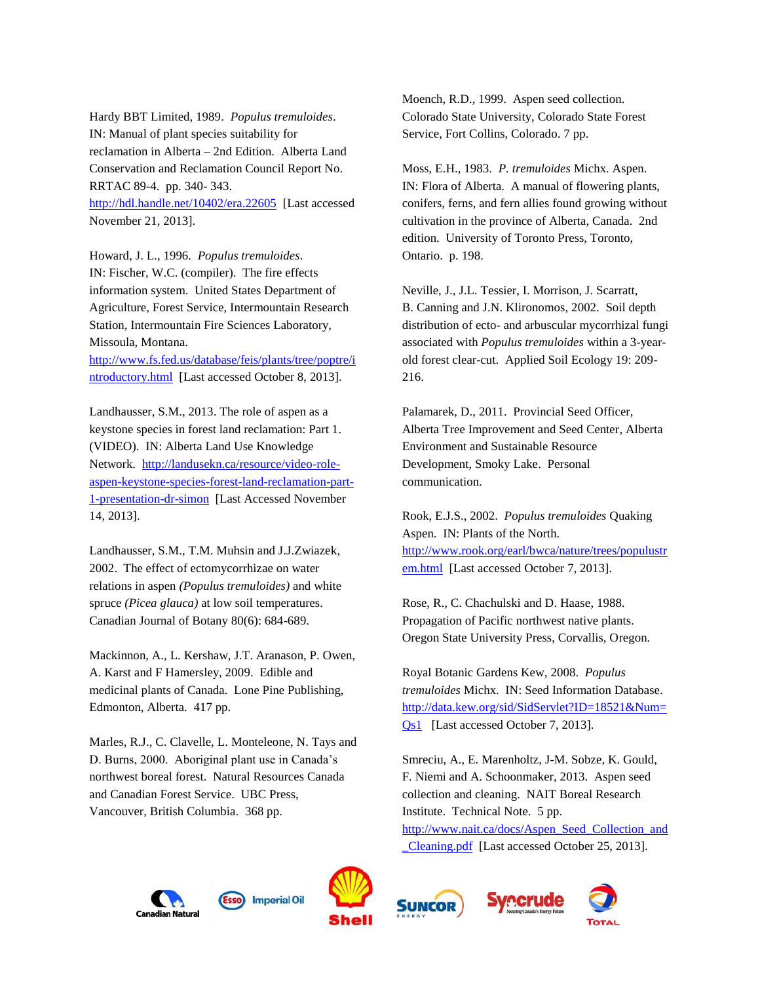Hardy BBT Limited, 1989. *Populus tremuloides*. IN: Manual of plant species suitability for reclamation in Alberta – 2nd Edition. Alberta Land Conservation and Reclamation Council Report No. RRTAC 89-4. pp. 340- 343. <http://hdl.handle.net/10402/era.22605> [Last accessed November 21, 2013].

Howard, J. L., 1996. *Populus tremuloides*. IN: Fischer, W.C. (compiler). The fire effects information system. United States Department of Agriculture, Forest Service, Intermountain Research Station, Intermountain Fire Sciences Laboratory, Missoula, Montana.

[http://www.fs.fed.us/database/feis/plants/tree/poptre/i](http://www.fs.fed.us/database/feis/plants/tree/poptre/introductory.html) [ntroductory.html](http://www.fs.fed.us/database/feis/plants/tree/poptre/introductory.html) [Last accessed October 8, 2013].

Landhausser, S.M., 2013. The role of aspen as a keystone species in forest land reclamation: Part 1. (VIDEO). IN: Alberta Land Use Knowledge Network. [http://landusekn.ca/resource/video-role](http://landusekn.ca/resource/video-role-aspen-keystone-species-forest-land-reclamation-part-1-presentation-dr-simon)[aspen-keystone-species-forest-land-reclamation-part-](http://landusekn.ca/resource/video-role-aspen-keystone-species-forest-land-reclamation-part-1-presentation-dr-simon)[1-presentation-dr-simon](http://landusekn.ca/resource/video-role-aspen-keystone-species-forest-land-reclamation-part-1-presentation-dr-simon) [Last Accessed November 14, 2013].

Landhausser, S.M., T.M. Muhsin and J.J.Zwiazek, 2002. The effect of ectomycorrhizae on water relations in aspen *(Populus tremuloides)* and white spruce *(Picea glauca)* at low soil temperatures. Canadian Journal of Botany 80(6): 684-689.

Mackinnon, A., L. Kershaw, J.T. Aranason, P. Owen, A. Karst and F Hamersley, 2009. Edible and medicinal plants of Canada. Lone Pine Publishing, Edmonton, Alberta. 417 pp.

Marles, R.J., C. Clavelle, L. Monteleone, N. Tays and D. Burns, 2000. Aboriginal plant use in Canada's northwest boreal forest. Natural Resources Canada and Canadian Forest Service. UBC Press, Vancouver, British Columbia. 368 pp.

Moench, R.D., 1999. Aspen seed collection. Colorado State University, Colorado State Forest Service, Fort Collins, Colorado. 7 pp.

Moss, E.H., 1983. *P. tremuloides* Michx. Aspen. IN: Flora of Alberta. A manual of flowering plants, conifers, ferns, and fern allies found growing without cultivation in the province of Alberta, Canada. 2nd edition. University of Toronto Press, Toronto, Ontario. p. 198.

Neville, J., J.L. Tessier, I. Morrison, J. Scarratt, B. Canning and J.N. Klironomos, 2002. Soil depth distribution of ecto- and arbuscular mycorrhizal fungi associated with *Populus tremuloides* within a 3-yearold forest clear-cut. Applied Soil Ecology 19: 209- 216.

Palamarek, D., 2011. Provincial Seed Officer, Alberta Tree Improvement and Seed Center, Alberta Environment and Sustainable Resource Development, Smoky Lake. Personal communication.

Rook, E.J.S., 2002. *Populus tremuloides* Quaking Aspen. IN: Plants of the North. [http://www.rook.org/earl/bwca/nature/trees/populustr](http://www.rook.org/earl/bwca/nature/trees/populustrem.html) [em.html](http://www.rook.org/earl/bwca/nature/trees/populustrem.html) [Last accessed October 7, 2013].

Rose, R., C. Chachulski and D. Haase, 1988. Propagation of Pacific northwest native plants. Oregon State University Press, Corvallis, Oregon.

Royal Botanic Gardens Kew, 2008. *Populus tremuloides* Michx. IN: Seed Information Database. [http://data.kew.org/sid/SidServlet?ID=18521&Num=](http://data.kew.org/sid/SidServlet?ID=18521&Num=Qs1) [Qs1](http://data.kew.org/sid/SidServlet?ID=18521&Num=Qs1) [Last accessed October 7, 2013].

Smreciu, A., E. Marenholtz, J-M. Sobze, K. Gould, F. Niemi and A. Schoonmaker, 2013. Aspen seed collection and cleaning. NAIT Boreal Research Institute. Technical Note. 5 pp. [http://www.nait.ca/docs/Aspen\\_Seed\\_Collection\\_and](http://www.nait.ca/docs/Aspen_Seed_Collection_and_Cleaning.pdf) [\\_Cleaning.pdf](http://www.nait.ca/docs/Aspen_Seed_Collection_and_Cleaning.pdf) [Last accessed October 25, 2013].

recrude